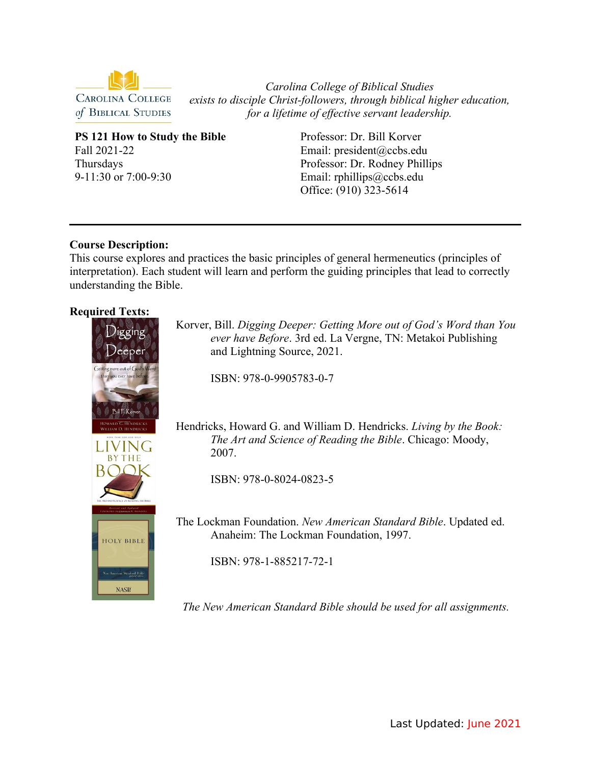

*Carolina College of Biblical Studies exists to disciple Christ-followers, through biblical higher education, for a lifetime of effective servant leadership.*

**PS 121 How to Study the Bible** Fall 2021-22 Thursdays 9-11:30 or 7:00-9:30

Professor: Dr. Bill Korver Email: president@ccbs.edu Professor: Dr. Rodney Phillips Email: rphillips@ccbs.edu Office: (910) 323-5614

# **Course Description:**

This course explores and practices the basic principles of general hermeneutics (principles of interpretation). Each student will learn and perform the guiding principles that lead to correctly understanding the Bible.

# **Required Texts:**



Korver, Bill. *Digging Deeper: Getting More out of God's Word than You ever have Before*. 3rd ed. La Vergne, TN: Metakoi Publishing and Lightning Source, 2021.

ISBN: 978-0-9905783-0-7

Hendricks, Howard G. and William D. Hendricks. *Living by the Book: The Art and Science of Reading the Bible*. Chicago: Moody, 2007.

ISBN: 978-0-8024-0823-5

The Lockman Foundation. *New American Standard Bible*. Updated ed. Anaheim: The Lockman Foundation, 1997.

ISBN: 978-1-885217-72-1

*The New American Standard Bible should be used for all assignments.*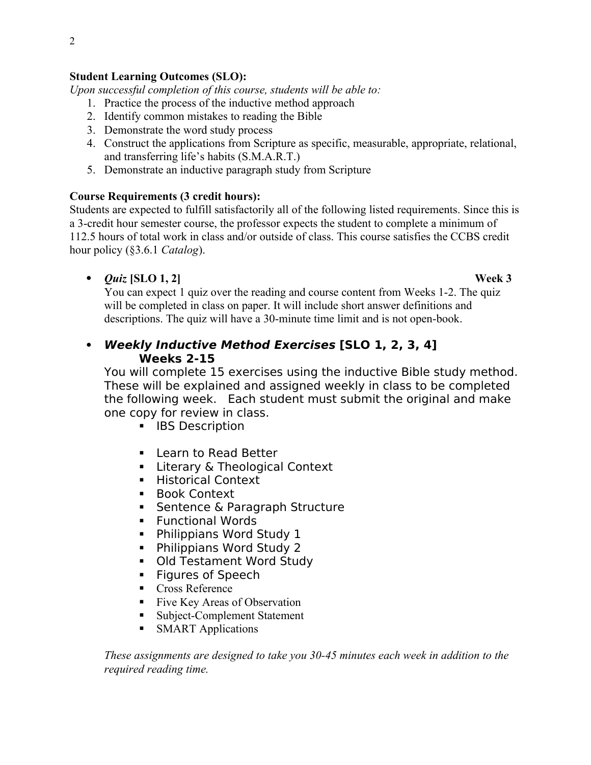# **Student Learning Outcomes (SLO):**

*Upon successful completion of this course, students will be able to:*

- 1. Practice the process of the inductive method approach
- 2. Identify common mistakes to reading the Bible
- 3. Demonstrate the word study process
- 4. Construct the applications from Scripture as specific, measurable, appropriate, relational, and transferring life's habits (S.M.A.R.T.)
- 5. Demonstrate an inductive paragraph study from Scripture

# **Course Requirements (3 credit hours):**

Students are expected to fulfill satisfactorily all of the following listed requirements. Since this is a 3-credit hour semester course, the professor expects the student to complete a minimum of 112.5 hours of total work in class and/or outside of class. This course satisfies the CCBS credit hour policy (§3.6.1 *Catalog*).

*Quiz* **[SLO 1, 2] Week 3**

You can expect 1 quiz over the reading and course content from Weeks 1-2. The quiz will be completed in class on paper. It will include short answer definitions and descriptions. The quiz will have a 30-minute time limit and is not open-book.

 **Weekly Inductive Method Exercises [SLO 1, 2, 3, 4] Weeks 2-15**

You will complete 15 exercises using the inductive Bible study method. These will be explained and assigned weekly in class to be completed the following week. Each student must submit the original and make one copy for review in class.

- **IBS Description**
- **Learn to Read Better**
- **EXECT:** Literary & Theological Context
- **Historical Context**
- **Book Context**
- **Sentence & Paragraph Structure**
- **Functional Words**
- **Philippians Word Study 1**
- Philippians Word Study 2
- Old Testament Word Study
- **Figures of Speech**
- Cross Reference
- Five Key Areas of Observation
- Subject-Complement Statement
- **SMART Applications**

*These assignments are designed to take you 30-45 minutes each week in addition to the required reading time.*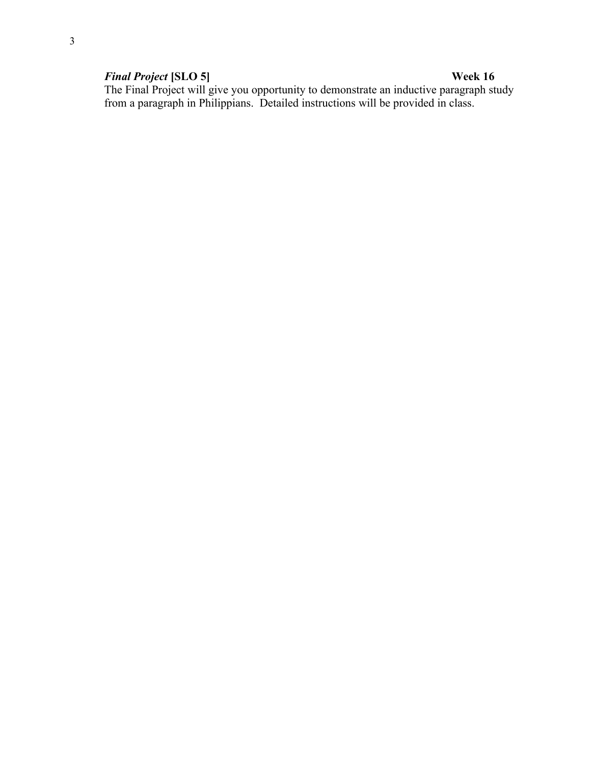## *Final Project* **[SLO 5] Week 16**

The Final Project will give you opportunity to demonstrate an inductive paragraph study from a paragraph in Philippians. Detailed instructions will be provided in class.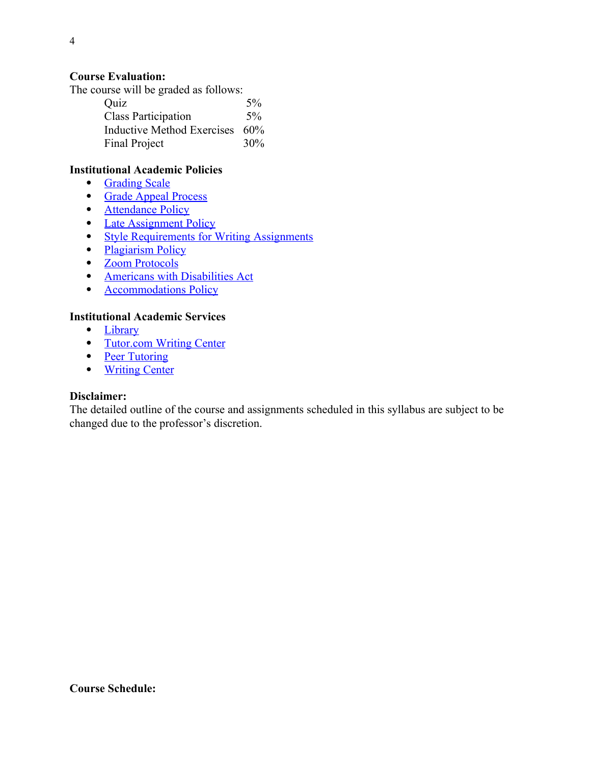## **Course Evaluation:**

The course will be graded as follows:

| Quiz                       | 5%    |
|----------------------------|-------|
| <b>Class Participation</b> | $5\%$ |
| Inductive Method Exercises | 60%   |
| <b>Final Project</b>       | 30%   |

## **Institutional Academic Policies**

- • [Grading Scale](https://www.ccbs.edu/grading-scale/)
- • [Grade Appeal Process](https://www.ccbs.edu/grade-appeal-process/)
- • [Attendance Policy](https://www.ccbs.edu/attendance-policy/)
- [Late Assignment Policy](https://www.ccbs.edu/late-assignment-policy/)
- [Style Requirements for Writing Assignments](https://www.ccbs.edu/style-requirements/)
- • [Plagiarism Policy](https://www.ccbs.edu/plagiarism-policy/)
- • [Zoom Protocols](https://www.ccbs.edu/zoom-protocols/)
- [Americans with Disabilities Act](https://www.ccbs.edu/americans-with-disabilities-act/)
- **[Accommodations Policy](https://www.ccbs.edu/accommodations-policy/)**

## **Institutional Academic Services**

- • [Library](https://ccbs.libguides.com/ccbslibrary?_ga=2.206817435.926958463.1614891912-895764379.1607371972)
- [Tutor.com Writing Center](http://www.ccbs.edu/tutor-com/)
- • [Peer Tutoring](https://www.ccbs.edu/peer-tutoring/)
- • [Writing Center](https://www.ccbs.edu/writing-center/)

### **Disclaimer:**

The detailed outline of the course and assignments scheduled in this syllabus are subject to be changed due to the professor's discretion.

**Course Schedule:**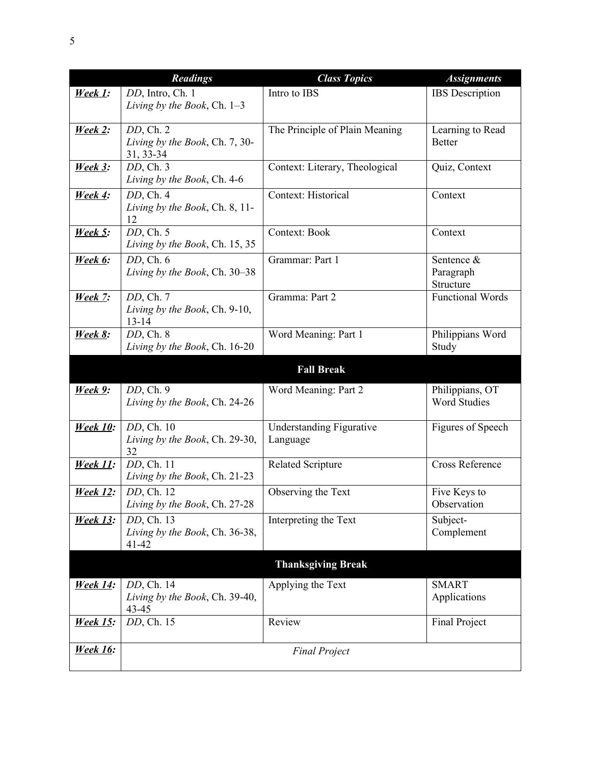|                 | <b>Readings</b>                | <b>Class Topics</b>             | <b>Assignments</b>      |
|-----------------|--------------------------------|---------------------------------|-------------------------|
| <u>Week 1:</u>  | DD, Intro, Ch. 1               | Intro to IBS                    | <b>IBS</b> Description  |
|                 | Living by the Book, Ch. 1-3    |                                 |                         |
|                 |                                |                                 |                         |
| <b>Week 2:</b>  | $DD$ , Ch. $2$                 | The Principle of Plain Meaning  | Learning to Read        |
|                 | Living by the Book, Ch. 7, 30- |                                 | <b>Better</b>           |
|                 | 31, 33-34                      |                                 |                         |
| <u>Week 3:</u>  | $DD$ , Ch. $3$                 | Context: Literary, Theological  | Quiz, Context           |
|                 | Living by the Book, Ch. 4-6    |                                 |                         |
| <b>Week 4:</b>  | $DD$ , Ch. 4                   | Context: Historical             | Context                 |
|                 | Living by the Book, Ch. 8, 11- |                                 |                         |
|                 | 12                             |                                 |                         |
| <u>Week 5:</u>  | $DD$ , Ch. $5$                 | <b>Context: Book</b>            | Context                 |
|                 | Living by the Book, Ch. 15, 35 |                                 |                         |
| <b>Week 6:</b>  | $DD$ , Ch. $6$                 | Grammar: Part 1                 | Sentence &              |
|                 | Living by the Book, Ch. 30-38  |                                 | Paragraph               |
|                 |                                |                                 | Structure               |
| <b>Week 7:</b>  | DD, Ch. 7                      | Gramma: Part 2                  | <b>Functional Words</b> |
|                 | Living by the Book, Ch. 9-10,  |                                 |                         |
|                 | $13 - 14$                      |                                 |                         |
| <u>Week 8:</u>  | $DD$ , Ch. $8$                 | Word Meaning: Part 1            | Philippians Word        |
|                 | Living by the Book, Ch. 16-20  |                                 | Study                   |
|                 |                                | <b>Fall Break</b>               |                         |
|                 |                                |                                 |                         |
| <u>Week 9:</u>  | $DD$ , Ch. $9$                 | Word Meaning: Part 2            | Philippians, OT         |
|                 | Living by the Book, Ch. 24-26  |                                 | <b>Word Studies</b>     |
|                 |                                |                                 |                         |
| <b>Week 10:</b> | DD, Ch. 10                     | <b>Understanding Figurative</b> | Figures of Speech       |
|                 | Living by the Book, Ch. 29-30, | Language                        |                         |
|                 | 32                             |                                 | Cross Reference         |
| <b>Week 11:</b> | DD, Ch. 11                     | <b>Related Scripture</b>        |                         |
|                 | Living by the Book, Ch. 21-23  |                                 |                         |
| <u>Week 12:</u> | DD, Ch. 12                     | Observing the Text              | Five Keys to            |
|                 | Living by the Book, Ch. 27-28  |                                 | Observation             |
| <b>Week 13:</b> | DD, Ch. 13                     | Interpreting the Text           | Subject-                |
|                 | Living by the Book, Ch. 36-38, |                                 | Complement              |
|                 | $41 - 42$                      |                                 |                         |
|                 |                                | <b>Thanksgiving Break</b>       |                         |
|                 |                                |                                 |                         |
| <b>Week 14:</b> | DD, Ch. 14                     | Applying the Text               | <b>SMART</b>            |
|                 | Living by the Book, Ch. 39-40, |                                 | Applications            |
|                 | 43-45                          |                                 |                         |
| <b>Week 15:</b> | DD, Ch. 15                     | Review                          | Final Project           |
|                 |                                |                                 |                         |
| <b>Week 16:</b> |                                | <b>Final Project</b>            |                         |
|                 |                                |                                 |                         |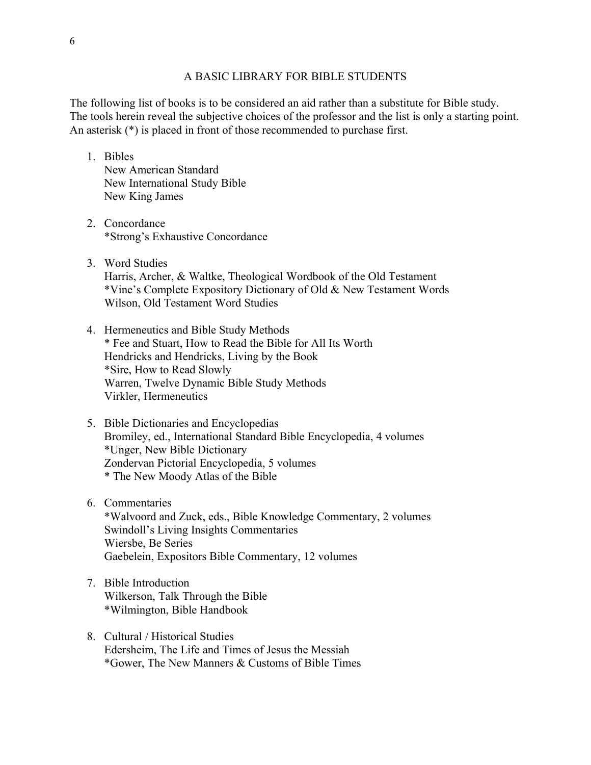#### A BASIC LIBRARY FOR BIBLE STUDENTS

The following list of books is to be considered an aid rather than a substitute for Bible study. The tools herein reveal the subjective choices of the professor and the list is only a starting point. An asterisk (\*) is placed in front of those recommended to purchase first.

- 1. Bibles New American Standard New International Study Bible New King James
- 2. Concordance \*Strong's Exhaustive Concordance
- 3. Word Studies Harris, Archer, & Waltke, Theological Wordbook of the Old Testament \*Vine's Complete Expository Dictionary of Old & New Testament Words Wilson, Old Testament Word Studies
- 4. Hermeneutics and Bible Study Methods \* Fee and Stuart, How to Read the Bible for All Its Worth Hendricks and Hendricks, Living by the Book \*Sire, How to Read Slowly Warren, Twelve Dynamic Bible Study Methods Virkler, Hermeneutics
- 5. Bible Dictionaries and Encyclopedias Bromiley, ed., International Standard Bible Encyclopedia, 4 volumes \*Unger, New Bible Dictionary Zondervan Pictorial Encyclopedia, 5 volumes \* The New Moody Atlas of the Bible
- 6. Commentaries

\*Walvoord and Zuck, eds., Bible Knowledge Commentary, 2 volumes Swindoll's Living Insights Commentaries Wiersbe, Be Series Gaebelein, Expositors Bible Commentary, 12 volumes

- 7. Bible Introduction Wilkerson, Talk Through the Bible \*Wilmington, Bible Handbook
- 8. Cultural / Historical Studies Edersheim, The Life and Times of Jesus the Messiah \*Gower, The New Manners & Customs of Bible Times